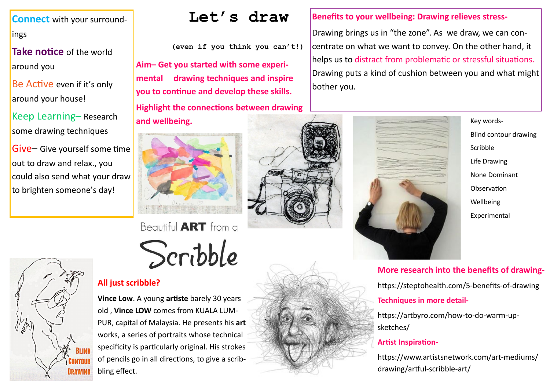Drawing brings us in "the zone". As we draw, we can concentrate on what we want to convey. On the other hand, it helps us to distract from problematic or stressful situations. Drawing puts a kind of cushion between you and what might bother you.





## **More research into the benefits of drawing-**

https://steptohealth.com/5-benefits-of-drawing

### **Techniques in more detail-**

https://artbyro.com/how-to-do-warm-up-

sketches/

**Artist Inspiration-**

https://www.artistsnetwork.com/art-mediums/ drawing/artful-scribble-art/

**Connect** with your surroundings

**Take notice** of the world around you

Be Active even if it's only around your house!

Keep Learning– Research some drawing techniques

Give– Give yourself some time out to draw and relax., you could also send what your draw to brighten someone's day!



**(even if you think you can't!)**

# **All just scribble?**

**Vince Low**. A young **artiste** barely 30 years old , **Vince LOW** comes from KUALA LUM-PUR, capital of Malaysia. He presents his **art** works, a series of portraits whose technical specificity is particularly original. His strokes of pencils go in all directions, to give a scribbling effect.

# Let's draw |Benefits to your wellbeing: Drawing relieves stress-

**Aim– Get you started with some experimental drawing techniques and inspire you to continue and develop these skills. Highlight the connections between drawing** 





Beautiful **ART** from a Scribble



Blind contour drawing Scribble Life Drawing None Dominant **Observation** Wellbeing Experimental